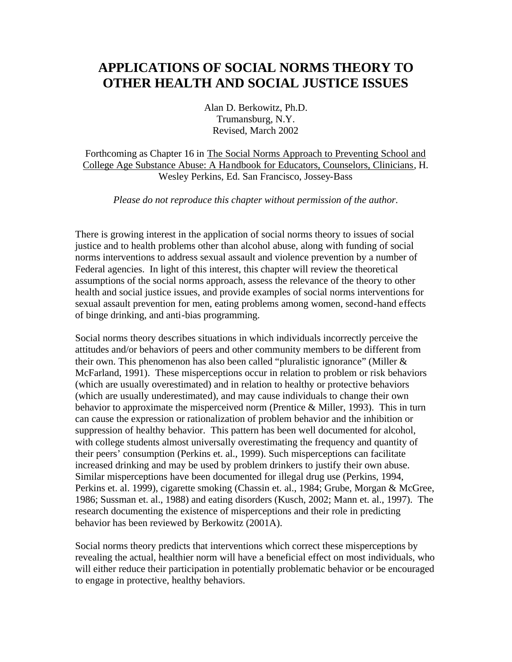# **APPLICATIONS OF SOCIAL NORMS THEORY TO OTHER HEALTH AND SOCIAL JUSTICE ISSUES**

Alan D. Berkowitz, Ph.D. Trumansburg, N.Y. Revised, March 2002

Forthcoming as Chapter 16 in The Social Norms Approach to Preventing School and College Age Substance Abuse: A Handbook for Educators, Counselors, Clinicians, H. Wesley Perkins, Ed. San Francisco, Jossey-Bass

*Please do not reproduce this chapter without permission of the author.*

There is growing interest in the application of social norms theory to issues of social justice and to health problems other than alcohol abuse, along with funding of social norms interventions to address sexual assault and violence prevention by a number of Federal agencies. In light of this interest, this chapter will review the theoretical assumptions of the social norms approach, assess the relevance of the theory to other health and social justice issues, and provide examples of social norms interventions for sexual assault prevention for men, eating problems among women, second-hand effects of binge drinking, and anti-bias programming.

Social norms theory describes situations in which individuals incorrectly perceive the attitudes and/or behaviors of peers and other community members to be different from their own. This phenomenon has also been called "pluralistic ignorance" (Miller & McFarland, 1991). These misperceptions occur in relation to problem or risk behaviors (which are usually overestimated) and in relation to healthy or protective behaviors (which are usually underestimated), and may cause individuals to change their own behavior to approximate the misperceived norm (Prentice & Miller, 1993). This in turn can cause the expression or rationalization of problem behavior and the inhibition or suppression of healthy behavior. This pattern has been well documented for alcohol, with college students almost universally overestimating the frequency and quantity of their peers' consumption (Perkins et. al., 1999). Such misperceptions can facilitate increased drinking and may be used by problem drinkers to justify their own abuse. Similar misperceptions have been documented for illegal drug use (Perkins, 1994, Perkins et. al. 1999), cigarette smoking (Chassin et. al., 1984; Grube, Morgan & McGree, 1986; Sussman et. al., 1988) and eating disorders (Kusch, 2002; Mann et. al., 1997). The research documenting the existence of misperceptions and their role in predicting behavior has been reviewed by Berkowitz (2001A).

Social norms theory predicts that interventions which correct these misperceptions by revealing the actual, healthier norm will have a beneficial effect on most individuals, who will either reduce their participation in potentially problematic behavior or be encouraged to engage in protective, healthy behaviors.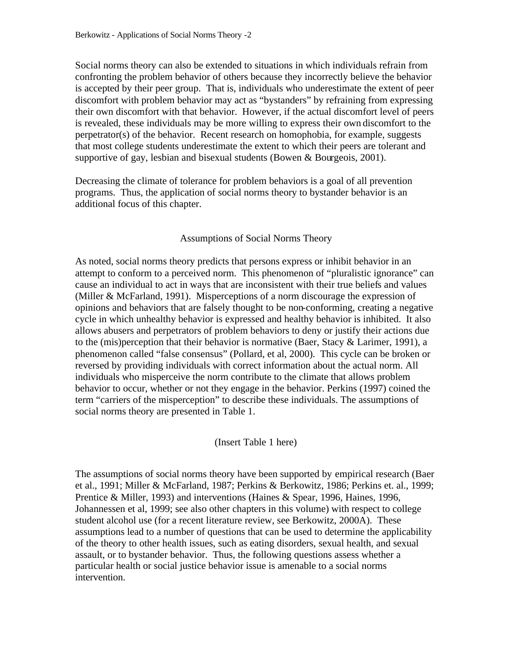Social norms theory can also be extended to situations in which individuals refrain from confronting the problem behavior of others because they incorrectly believe the behavior is accepted by their peer group. That is, individuals who underestimate the extent of peer discomfort with problem behavior may act as "bystanders" by refraining from expressing their own discomfort with that behavior. However, if the actual discomfort level of peers is revealed, these individuals may be more willing to express their own discomfort to the perpetrator(s) of the behavior. Recent research on homophobia, for example, suggests that most college students underestimate the extent to which their peers are tolerant and supportive of gay, lesbian and bisexual students (Bowen & Bourgeois, 2001).

Decreasing the climate of tolerance for problem behaviors is a goal of all prevention programs. Thus, the application of social norms theory to bystander behavior is an additional focus of this chapter.

#### Assumptions of Social Norms Theory

As noted, social norms theory predicts that persons express or inhibit behavior in an attempt to conform to a perceived norm. This phenomenon of "pluralistic ignorance" can cause an individual to act in ways that are inconsistent with their true beliefs and values (Miller & McFarland, 1991). Misperceptions of a norm discourage the expression of opinions and behaviors that are falsely thought to be non-conforming, creating a negative cycle in which unhealthy behavior is expressed and healthy behavior is inhibited. It also allows abusers and perpetrators of problem behaviors to deny or justify their actions due to the (mis)perception that their behavior is normative (Baer, Stacy & Larimer, 1991), a phenomenon called "false consensus" (Pollard, et al, 2000). This cycle can be broken or reversed by providing individuals with correct information about the actual norm. All individuals who misperceive the norm contribute to the climate that allows problem behavior to occur, whether or not they engage in the behavior. Perkins (1997) coined the term "carriers of the misperception" to describe these individuals. The assumptions of social norms theory are presented in Table 1.

(Insert Table 1 here)

The assumptions of social norms theory have been supported by empirical research (Baer et al., 1991; Miller & McFarland, 1987; Perkins & Berkowitz, 1986; Perkins et. al., 1999; Prentice & Miller, 1993) and interventions (Haines & Spear, 1996, Haines, 1996, Johannessen et al, 1999; see also other chapters in this volume) with respect to college student alcohol use (for a recent literature review, see Berkowitz, 2000A). These assumptions lead to a number of questions that can be used to determine the applicability of the theory to other health issues, such as eating disorders, sexual health, and sexual assault, or to bystander behavior. Thus, the following questions assess whether a particular health or social justice behavior issue is amenable to a social norms intervention.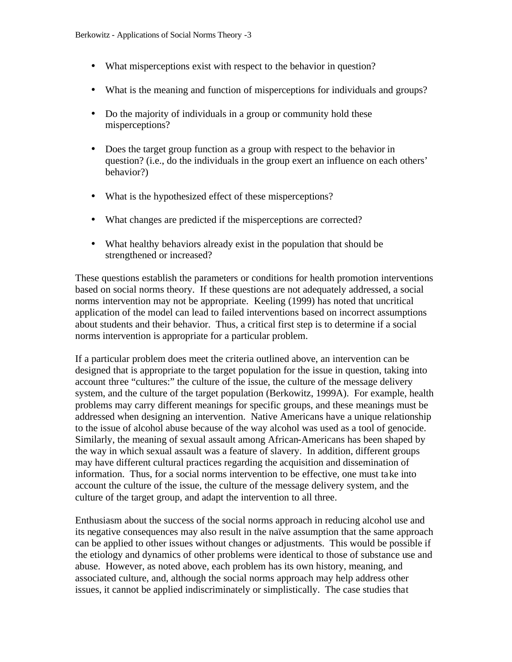- What misperceptions exist with respect to the behavior in question?
- What is the meaning and function of misperceptions for individuals and groups?
- Do the majority of individuals in a group or community hold these misperceptions?
- Does the target group function as a group with respect to the behavior in question? (i.e., do the individuals in the group exert an influence on each others' behavior?)
- What is the hypothesized effect of these misperceptions?
- What changes are predicted if the misperceptions are corrected?
- What healthy behaviors already exist in the population that should be strengthened or increased?

These questions establish the parameters or conditions for health promotion interventions based on social norms theory. If these questions are not adequately addressed, a social norms intervention may not be appropriate. Keeling (1999) has noted that uncritical application of the model can lead to failed interventions based on incorrect assumptions about students and their behavior. Thus, a critical first step is to determine if a social norms intervention is appropriate for a particular problem.

If a particular problem does meet the criteria outlined above, an intervention can be designed that is appropriate to the target population for the issue in question, taking into account three "cultures:" the culture of the issue, the culture of the message delivery system, and the culture of the target population (Berkowitz, 1999A). For example, health problems may carry different meanings for specific groups, and these meanings must be addressed when designing an intervention. Native Americans have a unique relationship to the issue of alcohol abuse because of the way alcohol was used as a tool of genocide. Similarly, the meaning of sexual assault among African-Americans has been shaped by the way in which sexual assault was a feature of slavery. In addition, different groups may have different cultural practices regarding the acquisition and dissemination of information. Thus, for a social norms intervention to be effective, one must take into account the culture of the issue, the culture of the message delivery system, and the culture of the target group, and adapt the intervention to all three.

Enthusiasm about the success of the social norms approach in reducing alcohol use and its negative consequences may also result in the naïve assumption that the same approach can be applied to other issues without changes or adjustments. This would be possible if the etiology and dynamics of other problems were identical to those of substance use and abuse. However, as noted above, each problem has its own history, meaning, and associated culture, and, although the social norms approach may help address other issues, it cannot be applied indiscriminately or simplistically. The case studies that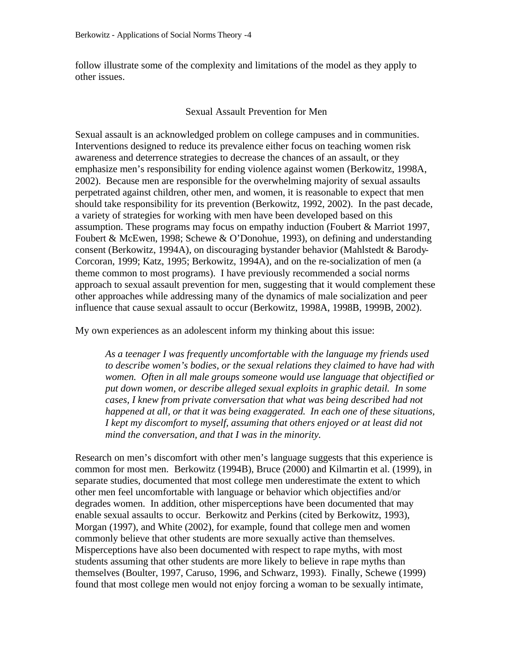follow illustrate some of the complexity and limitations of the model as they apply to other issues.

#### Sexual Assault Prevention for Men

Sexual assault is an acknowledged problem on college campuses and in communities. Interventions designed to reduce its prevalence either focus on teaching women risk awareness and deterrence strategies to decrease the chances of an assault, or they emphasize men's responsibility for ending violence against women (Berkowitz, 1998A, 2002). Because men are responsible for the overwhelming majority of sexual assaults perpetrated against children, other men, and women, it is reasonable to expect that men should take responsibility for its prevention (Berkowitz, 1992, 2002). In the past decade, a variety of strategies for working with men have been developed based on this assumption. These programs may focus on empathy induction (Foubert & Marriot 1997, Foubert & McEwen, 1998; Schewe & O'Donohue, 1993), on defining and understanding consent (Berkowitz, 1994A), on discouraging bystander behavior (Mahlstedt & Barody-Corcoran, 1999; Katz, 1995; Berkowitz, 1994A), and on the re-socialization of men (a theme common to most programs). I have previously recommended a social norms approach to sexual assault prevention for men, suggesting that it would complement these other approaches while addressing many of the dynamics of male socialization and peer influence that cause sexual assault to occur (Berkowitz, 1998A, 1998B, 1999B, 2002).

My own experiences as an adolescent inform my thinking about this issue:

*As a teenager I was frequently uncomfortable with the language my friends used to describe women's bodies, or the sexual relations they claimed to have had with women. Often in all male groups someone would use language that objectified or put down women, or describe alleged sexual exploits in graphic detail. In some cases, I knew from private conversation that what was being described had not happened at all, or that it was being exaggerated. In each one of these situations, I kept my discomfort to myself, assuming that others enjoyed or at least did not mind the conversation, and that I was in the minority.* 

Research on men's discomfort with other men's language suggests that this experience is common for most men. Berkowitz (1994B), Bruce (2000) and Kilmartin et al. (1999), in separate studies, documented that most college men underestimate the extent to which other men feel uncomfortable with language or behavior which objectifies and/or degrades women. In addition, other misperceptions have been documented that may enable sexual assaults to occur. Berkowitz and Perkins (cited by Berkowitz, 1993), Morgan (1997), and White (2002), for example, found that college men and women commonly believe that other students are more sexually active than themselves. Misperceptions have also been documented with respect to rape myths, with most students assuming that other students are more likely to believe in rape myths than themselves (Boulter, 1997, Caruso, 1996, and Schwarz, 1993). Finally, Schewe (1999) found that most college men would not enjoy forcing a woman to be sexually intimate,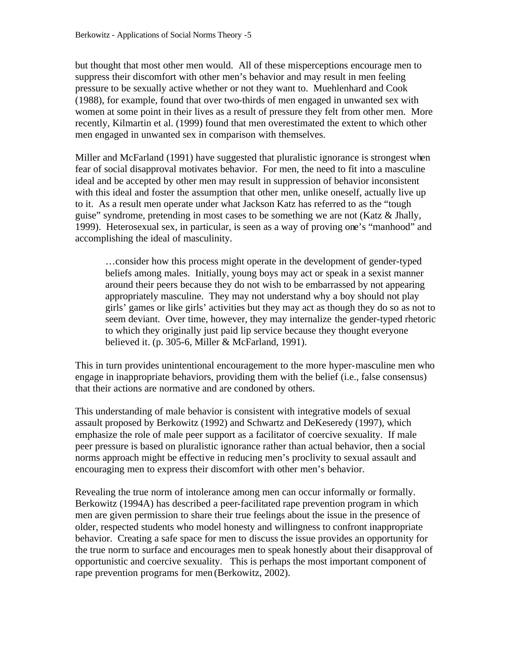but thought that most other men would. All of these misperceptions encourage men to suppress their discomfort with other men's behavior and may result in men feeling pressure to be sexually active whether or not they want to. Muehlenhard and Cook (1988), for example, found that over two-thirds of men engaged in unwanted sex with women at some point in their lives as a result of pressure they felt from other men. More recently, Kilmartin et al. (1999) found that men overestimated the extent to which other men engaged in unwanted sex in comparison with themselves.

Miller and McFarland (1991) have suggested that pluralistic ignorance is strongest when fear of social disapproval motivates behavior. For men, the need to fit into a masculine ideal and be accepted by other men may result in suppression of behavior inconsistent with this ideal and foster the assumption that other men, unlike oneself, actually live up to it. As a result men operate under what Jackson Katz has referred to as the "tough guise" syndrome, pretending in most cases to be something we are not (Katz & Jhally, 1999). Heterosexual sex, in particular, is seen as a way of proving one's "manhood" and accomplishing the ideal of masculinity.

…consider how this process might operate in the development of gender-typed beliefs among males. Initially, young boys may act or speak in a sexist manner around their peers because they do not wish to be embarrassed by not appearing appropriately masculine. They may not understand why a boy should not play girls' games or like girls' activities but they may act as though they do so as not to seem deviant. Over time, however, they may internalize the gender-typed rhetoric to which they originally just paid lip service because they thought everyone believed it. (p. 305-6, Miller & McFarland, 1991).

This in turn provides unintentional encouragement to the more hyper-masculine men who engage in inappropriate behaviors, providing them with the belief (i.e., false consensus) that their actions are normative and are condoned by others.

This understanding of male behavior is consistent with integrative models of sexual assault proposed by Berkowitz (1992) and Schwartz and DeKeseredy (1997), which emphasize the role of male peer support as a facilitator of coercive sexuality. If male peer pressure is based on pluralistic ignorance rather than actual behavior, then a social norms approach might be effective in reducing men's proclivity to sexual assault and encouraging men to express their discomfort with other men's behavior.

Revealing the true norm of intolerance among men can occur informally or formally. Berkowitz (1994A) has described a peer-facilitated rape prevention program in which men are given permission to share their true feelings about the issue in the presence of older, respected students who model honesty and willingness to confront inappropriate behavior. Creating a safe space for men to discuss the issue provides an opportunity for the true norm to surface and encourages men to speak honestly about their disapproval of opportunistic and coercive sexuality. This is perhaps the most important component of rape prevention programs for men (Berkowitz, 2002).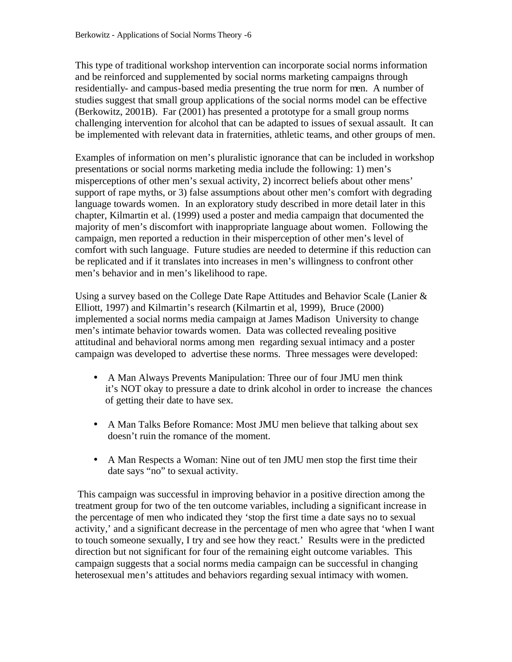This type of traditional workshop intervention can incorporate social norms information and be reinforced and supplemented by social norms marketing campaigns through residentially- and campus-based media presenting the true norm for men. A number of studies suggest that small group applications of the social norms model can be effective (Berkowitz, 2001B). Far (2001) has presented a prototype for a small group norms challenging intervention for alcohol that can be adapted to issues of sexual assault. It can be implemented with relevant data in fraternities, athletic teams, and other groups of men.

Examples of information on men's pluralistic ignorance that can be included in workshop presentations or social norms marketing media include the following: 1) men's misperceptions of other men's sexual activity, 2) incorrect beliefs about other mens' support of rape myths, or 3) false assumptions about other men's comfort with degrading language towards women. In an exploratory study described in more detail later in this chapter, Kilmartin et al. (1999) used a poster and media campaign that documented the majority of men's discomfort with inappropriate language about women. Following the campaign, men reported a reduction in their misperception of other men's level of comfort with such language. Future studies are needed to determine if this reduction can be replicated and if it translates into increases in men's willingness to confront other men's behavior and in men's likelihood to rape.

Using a survey based on the College Date Rape Attitudes and Behavior Scale (Lanier  $\&$ Elliott, 1997) and Kilmartin's research (Kilmartin et al, 1999), Bruce (2000) implemented a social norms media campaign at James Madison University to change men's intimate behavior towards women. Data was collected revealing positive attitudinal and behavioral norms among men regarding sexual intimacy and a poster campaign was developed to advertise these norms. Three messages were developed:

- A Man Always Prevents Manipulation: Three our of four JMU men think it's NOT okay to pressure a date to drink alcohol in order to increase the chances of getting their date to have sex.
- A Man Talks Before Romance: Most JMU men believe that talking about sex doesn't ruin the romance of the moment.
- A Man Respects a Woman: Nine out of ten JMU men stop the first time their date says "no" to sexual activity.

 This campaign was successful in improving behavior in a positive direction among the treatment group for two of the ten outcome variables, including a significant increase in the percentage of men who indicated they 'stop the first time a date says no to sexual activity,' and a significant decrease in the percentage of men who agree that 'when I want to touch someone sexually, I try and see how they react.' Results were in the predicted direction but not significant for four of the remaining eight outcome variables. This campaign suggests that a social norms media campaign can be successful in changing heterosexual men's attitudes and behaviors regarding sexual intimacy with women.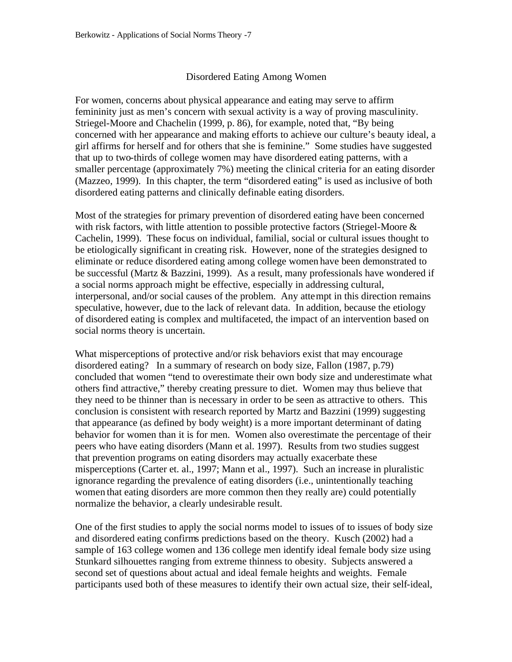#### Disordered Eating Among Women

For women, concerns about physical appearance and eating may serve to affirm femininity just as men's concern with sexual activity is a way of proving masculinity. Striegel-Moore and Chachelin (1999, p. 86), for example, noted that, "By being concerned with her appearance and making efforts to achieve our culture's beauty ideal, a girl affirms for herself and for others that she is feminine." Some studies have suggested that up to two-thirds of college women may have disordered eating patterns, with a smaller percentage (approximately 7%) meeting the clinical criteria for an eating disorder (Mazzeo, 1999). In this chapter, the term "disordered eating" is used as inclusive of both disordered eating patterns and clinically definable eating disorders.

Most of the strategies for primary prevention of disordered eating have been concerned with risk factors, with little attention to possible protective factors (Striegel-Moore & Cachelin, 1999). These focus on individual, familial, social or cultural issues thought to be etiologically significant in creating risk. However, none of the strategies designed to eliminate or reduce disordered eating among college women have been demonstrated to be successful (Martz & Bazzini, 1999). As a result, many professionals have wondered if a social norms approach might be effective, especially in addressing cultural, interpersonal, and/or social causes of the problem. Any attempt in this direction remains speculative, however, due to the lack of relevant data. In addition, because the etiology of disordered eating is complex and multifaceted, the impact of an intervention based on social norms theory is uncertain.

What misperceptions of protective and/or risk behaviors exist that may encourage disordered eating? In a summary of research on body size, Fallon (1987, p.79) concluded that women "tend to overestimate their own body size and underestimate what others find attractive," thereby creating pressure to diet. Women may thus believe that they need to be thinner than is necessary in order to be seen as attractive to others. This conclusion is consistent with research reported by Martz and Bazzini (1999) suggesting that appearance (as defined by body weight) is a more important determinant of dating behavior for women than it is for men. Women also overestimate the percentage of their peers who have eating disorders (Mann et al. 1997). Results from two studies suggest that prevention programs on eating disorders may actually exacerbate these misperceptions (Carter et. al., 1997; Mann et al., 1997). Such an increase in pluralistic ignorance regarding the prevalence of eating disorders (i.e., unintentionally teaching women that eating disorders are more common then they really are) could potentially normalize the behavior, a clearly undesirable result.

One of the first studies to apply the social norms model to issues of to issues of body size and disordered eating confirms predictions based on the theory. Kusch (2002) had a sample of 163 college women and 136 college men identify ideal female body size using Stunkard silhouettes ranging from extreme thinness to obesity. Subjects answered a second set of questions about actual and ideal female heights and weights. Female participants used both of these measures to identify their own actual size, their self-ideal,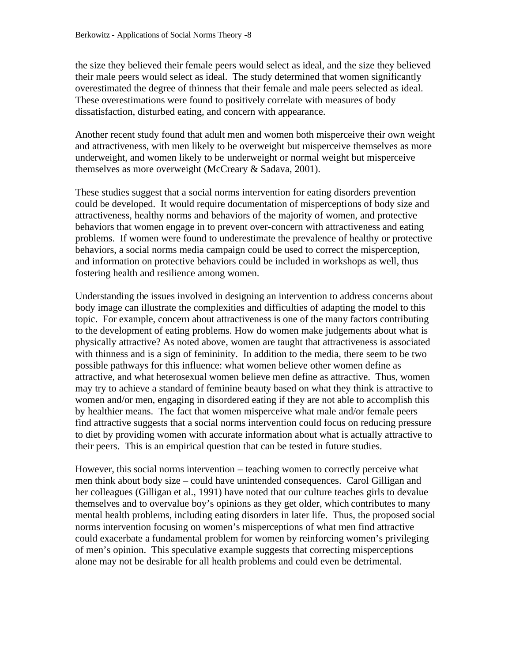the size they believed their female peers would select as ideal, and the size they believed their male peers would select as ideal. The study determined that women significantly overestimated the degree of thinness that their female and male peers selected as ideal. These overestimations were found to positively correlate with measures of body dissatisfaction, disturbed eating, and concern with appearance.

Another recent study found that adult men and women both misperceive their own weight and attractiveness, with men likely to be overweight but misperceive themselves as more underweight, and women likely to be underweight or normal weight but misperceive themselves as more overweight (McCreary & Sadava, 2001).

These studies suggest that a social norms intervention for eating disorders prevention could be developed. It would require documentation of misperceptions of body size and attractiveness, healthy norms and behaviors of the majority of women, and protective behaviors that women engage in to prevent over-concern with attractiveness and eating problems. If women were found to underestimate the prevalence of healthy or protective behaviors, a social norms media campaign could be used to correct the misperception, and information on protective behaviors could be included in workshops as well, thus fostering health and resilience among women.

Understanding the issues involved in designing an intervention to address concerns about body image can illustrate the complexities and difficulties of adapting the model to this topic. For example, concern about attractiveness is one of the many factors contributing to the development of eating problems. How do women make judgements about what is physically attractive? As noted above, women are taught that attractiveness is associated with thinness and is a sign of femininity. In addition to the media, there seem to be two possible pathways for this influence: what women believe other women define as attractive, and what heterosexual women believe men define as attractive. Thus, women may try to achieve a standard of feminine beauty based on what they think is attractive to women and/or men, engaging in disordered eating if they are not able to accomplish this by healthier means. The fact that women misperceive what male and/or female peers find attractive suggests that a social norms intervention could focus on reducing pressure to diet by providing women with accurate information about what is actually attractive to their peers. This is an empirical question that can be tested in future studies.

However, this social norms intervention – teaching women to correctly perceive what men think about body size – could have unintended consequences. Carol Gilligan and her colleagues (Gilligan et al., 1991) have noted that our culture teaches girls to devalue themselves and to overvalue boy's opinions as they get older, which contributes to many mental health problems, including eating disorders in later life. Thus, the proposed social norms intervention focusing on women's misperceptions of what men find attractive could exacerbate a fundamental problem for women by reinforcing women's privileging of men's opinion. This speculative example suggests that correcting misperceptions alone may not be desirable for all health problems and could even be detrimental.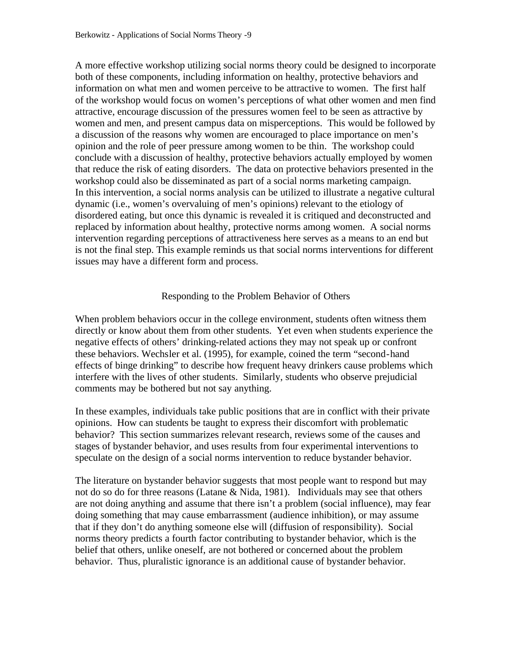A more effective workshop utilizing social norms theory could be designed to incorporate both of these components, including information on healthy, protective behaviors and information on what men and women perceive to be attractive to women. The first half of the workshop would focus on women's perceptions of what other women and men find attractive, encourage discussion of the pressures women feel to be seen as attractive by women and men, and present campus data on misperceptions. This would be followed by a discussion of the reasons why women are encouraged to place importance on men's opinion and the role of peer pressure among women to be thin. The workshop could conclude with a discussion of healthy, protective behaviors actually employed by women that reduce the risk of eating disorders. The data on protective behaviors presented in the workshop could also be disseminated as part of a social norms marketing campaign. In this intervention, a social norms analysis can be utilized to illustrate a negative cultural dynamic (i.e., women's overvaluing of men's opinions) relevant to the etiology of disordered eating, but once this dynamic is revealed it is critiqued and deconstructed and replaced by information about healthy, protective norms among women. A social norms intervention regarding perceptions of attractiveness here serves as a means to an end but is not the final step. This example reminds us that social norms interventions for different issues may have a different form and process.

### Responding to the Problem Behavior of Others

When problem behaviors occur in the college environment, students often witness them directly or know about them from other students. Yet even when students experience the negative effects of others' drinking-related actions they may not speak up or confront these behaviors. Wechsler et al. (1995), for example, coined the term "second-hand effects of binge drinking" to describe how frequent heavy drinkers cause problems which interfere with the lives of other students. Similarly, students who observe prejudicial comments may be bothered but not say anything.

In these examples, individuals take public positions that are in conflict with their private opinions. How can students be taught to express their discomfort with problematic behavior? This section summarizes relevant research, reviews some of the causes and stages of bystander behavior, and uses results from four experimental interventions to speculate on the design of a social norms intervention to reduce bystander behavior.

The literature on bystander behavior suggests that most people want to respond but may not do so do for three reasons (Latane & Nida, 1981). Individuals may see that others are not doing anything and assume that there isn't a problem (social influence), may fear doing something that may cause embarrassment (audience inhibition), or may assume that if they don't do anything someone else will (diffusion of responsibility). Social norms theory predicts a fourth factor contributing to bystander behavior, which is the belief that others, unlike oneself, are not bothered or concerned about the problem behavior. Thus, pluralistic ignorance is an additional cause of bystander behavior.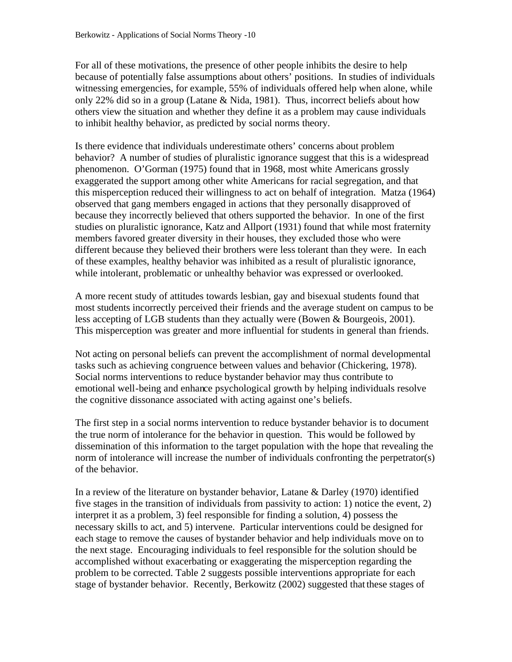For all of these motivations, the presence of other people inhibits the desire to help because of potentially false assumptions about others' positions. In studies of individuals witnessing emergencies, for example, 55% of individuals offered help when alone, while only 22% did so in a group (Latane & Nida, 1981). Thus, incorrect beliefs about how others view the situation and whether they define it as a problem may cause individuals to inhibit healthy behavior, as predicted by social norms theory.

Is there evidence that individuals underestimate others' concerns about problem behavior? A number of studies of pluralistic ignorance suggest that this is a widespread phenomenon. O'Gorman (1975) found that in 1968, most white Americans grossly exaggerated the support among other white Americans for racial segregation, and that this misperception reduced their willingness to act on behalf of integration. Matza (1964) observed that gang members engaged in actions that they personally disapproved of because they incorrectly believed that others supported the behavior. In one of the first studies on pluralistic ignorance, Katz and Allport (1931) found that while most fraternity members favored greater diversity in their houses, they excluded those who were different because they believed their brothers were less tolerant than they were. In each of these examples, healthy behavior was inhibited as a result of pluralistic ignorance, while intolerant, problematic or unhealthy behavior was expressed or overlooked.

A more recent study of attitudes towards lesbian, gay and bisexual students found that most students incorrectly perceived their friends and the average student on campus to be less accepting of LGB students than they actually were (Bowen & Bourgeois, 2001). This misperception was greater and more influential for students in general than friends.

Not acting on personal beliefs can prevent the accomplishment of normal developmental tasks such as achieving congruence between values and behavior (Chickering, 1978). Social norms interventions to reduce bystander behavior may thus contribute to emotional well-being and enhance psychological growth by helping individuals resolve the cognitive dissonance associated with acting against one's beliefs.

The first step in a social norms intervention to reduce bystander behavior is to document the true norm of intolerance for the behavior in question. This would be followed by dissemination of this information to the target population with the hope that revealing the norm of intolerance will increase the number of individuals confronting the perpetrator(s) of the behavior.

In a review of the literature on bystander behavior, Latane & Darley (1970) identified five stages in the transition of individuals from passivity to action: 1) notice the event, 2) interpret it as a problem, 3) feel responsible for finding a solution, 4) possess the necessary skills to act, and 5) intervene. Particular interventions could be designed for each stage to remove the causes of bystander behavior and help individuals move on to the next stage. Encouraging individuals to feel responsible for the solution should be accomplished without exacerbating or exaggerating the misperception regarding the problem to be corrected. Table 2 suggests possible interventions appropriate for each stage of bystander behavior. Recently, Berkowitz (2002) suggested that these stages of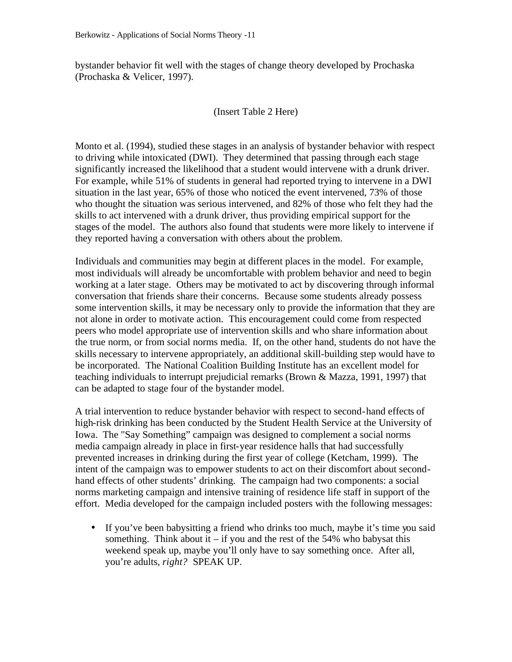bystander behavior fit well with the stages of change theory developed by Prochaska (Prochaska & Velicer, 1997).

#### (Insert Table 2 Here)

Monto et al. (1994), studied these stages in an analysis of bystander behavior with respect to driving while intoxicated (DWI). They determined that passing through each stage significantly increased the likelihood that a student would intervene with a drunk driver. For example, while 51% of students in general had reported trying to intervene in a DWI situation in the last year, 65% of those who noticed the event intervened, 73% of those who thought the situation was serious intervened, and 82% of those who felt they had the skills to act intervened with a drunk driver, thus providing empirical support for the stages of the model. The authors also found that students were more likely to intervene if they reported having a conversation with others about the problem.

Individuals and communities may begin at different places in the model. For example, most individuals will already be uncomfortable with problem behavior and need to begin working at a later stage. Others may be motivated to act by discovering through informal conversation that friends share their concerns. Because some students already possess some intervention skills, it may be necessary only to provide the information that they are not alone in order to motivate action. This encouragement could come from respected peers who model appropriate use of intervention skills and who share information about the true norm, or from social norms media. If, on the other hand, students do not have the skills necessary to intervene appropriately, an additional skill-building step would have to be incorporated. The National Coalition Building Institute has an excellent model for teaching individuals to interrupt prejudicial remarks (Brown & Mazza, 1991, 1997) that can be adapted to stage four of the bystander model.

A trial intervention to reduce bystander behavior with respect to second-hand effects of high-risk drinking has been conducted by the Student Health Service at the University of Iowa. The "Say Something" campaign was designed to complement a social norms media campaign already in place in first-year residence halls that had successfully prevented increases in drinking during the first year of college (Ketcham, 1999). The intent of the campaign was to empower students to act on their discomfort about secondhand effects of other students' drinking. The campaign had two components: a social norms marketing campaign and intensive training of residence life staff in support of the effort. Media developed for the campaign included posters with the following messages:

• If you've been babysitting a friend who drinks too much, maybe it's time you said something. Think about it – if you and the rest of the 54% who babysat this weekend speak up, maybe you'll only have to say something once. After all, you're adults, *right?* SPEAK UP.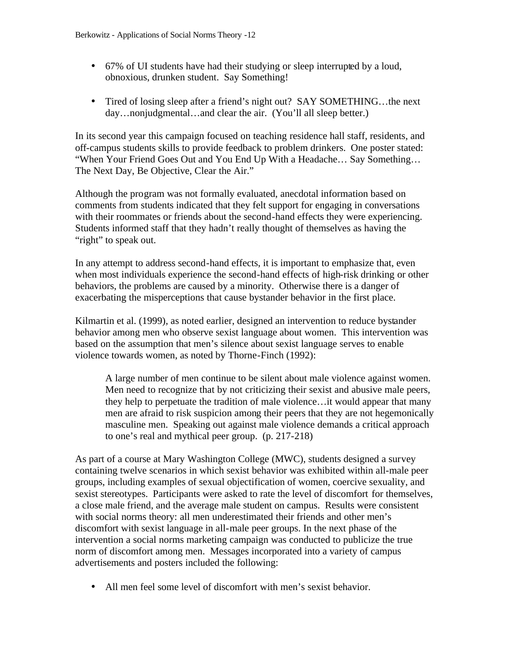- 67% of UI students have had their studying or sleep interrupted by a loud, obnoxious, drunken student. Say Something!
- Tired of losing sleep after a friend's night out? SAY SOMETHING...the next day…nonjudgmental…and clear the air. (You'll all sleep better.)

In its second year this campaign focused on teaching residence hall staff, residents, and off-campus students skills to provide feedback to problem drinkers. One poster stated: "When Your Friend Goes Out and You End Up With a Headache… Say Something… The Next Day, Be Objective, Clear the Air."

Although the program was not formally evaluated, anecdotal information based on comments from students indicated that they felt support for engaging in conversations with their roommates or friends about the second-hand effects they were experiencing. Students informed staff that they hadn't really thought of themselves as having the "right" to speak out.

In any attempt to address second-hand effects, it is important to emphasize that, even when most individuals experience the second-hand effects of high-risk drinking or other behaviors, the problems are caused by a minority. Otherwise there is a danger of exacerbating the misperceptions that cause bystander behavior in the first place.

Kilmartin et al. (1999), as noted earlier, designed an intervention to reduce bystander behavior among men who observe sexist language about women. This intervention was based on the assumption that men's silence about sexist language serves to enable violence towards women, as noted by Thorne-Finch (1992):

A large number of men continue to be silent about male violence against women. Men need to recognize that by not criticizing their sexist and abusive male peers, they help to perpetuate the tradition of male violence…it would appear that many men are afraid to risk suspicion among their peers that they are not hegemonically masculine men. Speaking out against male violence demands a critical approach to one's real and mythical peer group. (p. 217-218)

As part of a course at Mary Washington College (MWC), students designed a survey containing twelve scenarios in which sexist behavior was exhibited within all-male peer groups, including examples of sexual objectification of women, coercive sexuality, and sexist stereotypes. Participants were asked to rate the level of discomfort for themselves, a close male friend, and the average male student on campus. Results were consistent with social norms theory: all men underestimated their friends and other men's discomfort with sexist language in all-male peer groups. In the next phase of the intervention a social norms marketing campaign was conducted to publicize the true norm of discomfort among men. Messages incorporated into a variety of campus advertisements and posters included the following:

• All men feel some level of discomfort with men's sexist behavior.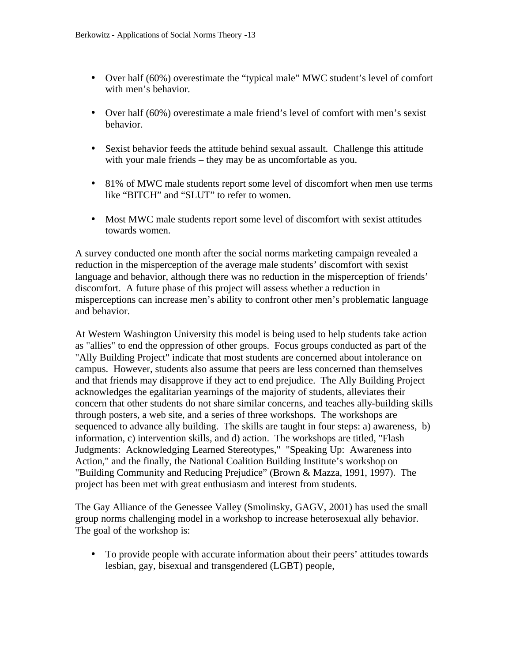- Over half (60%) overestimate the "typical male" MWC student's level of comfort with men's behavior.
- Over half (60%) overestimate a male friend's level of comfort with men's sexist behavior.
- Sexist behavior feeds the attitude behind sexual assault. Challenge this attitude with your male friends – they may be as uncomfortable as you.
- 81% of MWC male students report some level of discomfort when men use terms like "BITCH" and "SLUT" to refer to women.
- Most MWC male students report some level of discomfort with sexist attitudes towards women.

A survey conducted one month after the social norms marketing campaign revealed a reduction in the misperception of the average male students' discomfort with sexist language and behavior, although there was no reduction in the misperception of friends' discomfort. A future phase of this project will assess whether a reduction in misperceptions can increase men's ability to confront other men's problematic language and behavior.

At Western Washington University this model is being used to help students take action as "allies" to end the oppression of other groups. Focus groups conducted as part of the "Ally Building Project" indicate that most students are concerned about intolerance on campus. However, students also assume that peers are less concerned than themselves and that friends may disapprove if they act to end prejudice. The Ally Building Project acknowledges the egalitarian yearnings of the majority of students, alleviates their concern that other students do not share similar concerns, and teaches ally-building skills through posters, a web site, and a series of three workshops. The workshops are sequenced to advance ally building. The skills are taught in four steps: a) awareness, b) information, c) intervention skills, and d) action. The workshops are titled, "Flash Judgments: Acknowledging Learned Stereotypes," "Speaking Up: Awareness into Action," and the finally, the National Coalition Building Institute's workshop on "Building Community and Reducing Prejudice" (Brown & Mazza, 1991, 1997). The project has been met with great enthusiasm and interest from students.

The Gay Alliance of the Genessee Valley (Smolinsky, GAGV, 2001) has used the small group norms challenging model in a workshop to increase heterosexual ally behavior. The goal of the workshop is:

• To provide people with accurate information about their peers' attitudes towards lesbian, gay, bisexual and transgendered (LGBT) people,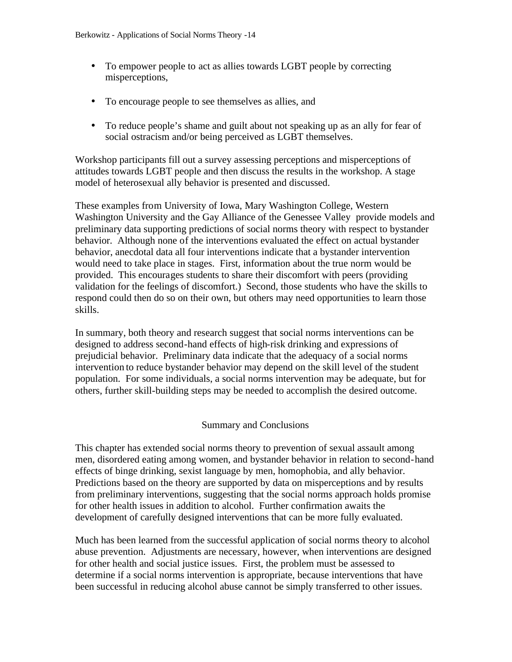- To empower people to act as allies towards LGBT people by correcting misperceptions,
- To encourage people to see themselves as allies, and
- To reduce people's shame and guilt about not speaking up as an ally for fear of social ostracism and/or being perceived as LGBT themselves.

Workshop participants fill out a survey assessing perceptions and misperceptions of attitudes towards LGBT people and then discuss the results in the workshop. A stage model of heterosexual ally behavior is presented and discussed.

These examples from University of Iowa, Mary Washington College, Western Washington University and the Gay Alliance of the Genessee Valley provide models and preliminary data supporting predictions of social norms theory with respect to bystander behavior. Although none of the interventions evaluated the effect on actual bystander behavior, anecdotal data all four interventions indicate that a bystander intervention would need to take place in stages. First, information about the true norm would be provided. This encourages students to share their discomfort with peers (providing validation for the feelings of discomfort.) Second, those students who have the skills to respond could then do so on their own, but others may need opportunities to learn those skills.

In summary, both theory and research suggest that social norms interventions can be designed to address second-hand effects of high-risk drinking and expressions of prejudicial behavior. Preliminary data indicate that the adequacy of a social norms intervention to reduce bystander behavior may depend on the skill level of the student population. For some individuals, a social norms intervention may be adequate, but for others, further skill-building steps may be needed to accomplish the desired outcome.

#### Summary and Conclusions

This chapter has extended social norms theory to prevention of sexual assault among men, disordered eating among women, and bystander behavior in relation to second-hand effects of binge drinking, sexist language by men, homophobia, and ally behavior. Predictions based on the theory are supported by data on misperceptions and by results from preliminary interventions, suggesting that the social norms approach holds promise for other health issues in addition to alcohol. Further confirmation awaits the development of carefully designed interventions that can be more fully evaluated.

Much has been learned from the successful application of social norms theory to alcohol abuse prevention. Adjustments are necessary, however, when interventions are designed for other health and social justice issues. First, the problem must be assessed to determine if a social norms intervention is appropriate, because interventions that have been successful in reducing alcohol abuse cannot be simply transferred to other issues.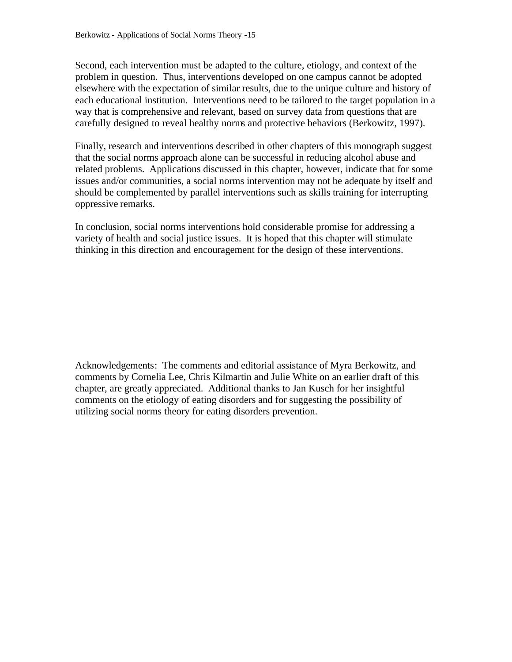Second, each intervention must be adapted to the culture, etiology, and context of the problem in question. Thus, interventions developed on one campus cannot be adopted elsewhere with the expectation of similar results, due to the unique culture and history of each educational institution. Interventions need to be tailored to the target population in a way that is comprehensive and relevant, based on survey data from questions that are carefully designed to reveal healthy norms and protective behaviors (Berkowitz, 1997).

Finally, research and interventions described in other chapters of this monograph suggest that the social norms approach alone can be successful in reducing alcohol abuse and related problems. Applications discussed in this chapter, however, indicate that for some issues and/or communities, a social norms intervention may not be adequate by itself and should be complemented by parallel interventions such as skills training for interrupting oppressive remarks.

In conclusion, social norms interventions hold considerable promise for addressing a variety of health and social justice issues. It is hoped that this chapter will stimulate thinking in this direction and encouragement for the design of these interventions.

Acknowledgements: The comments and editorial assistance of Myra Berkowitz, and comments by Cornelia Lee, Chris Kilmartin and Julie White on an earlier draft of this chapter, are greatly appreciated. Additional thanks to Jan Kusch for her insightful comments on the etiology of eating disorders and for suggesting the possibility of utilizing social norms theory for eating disorders prevention.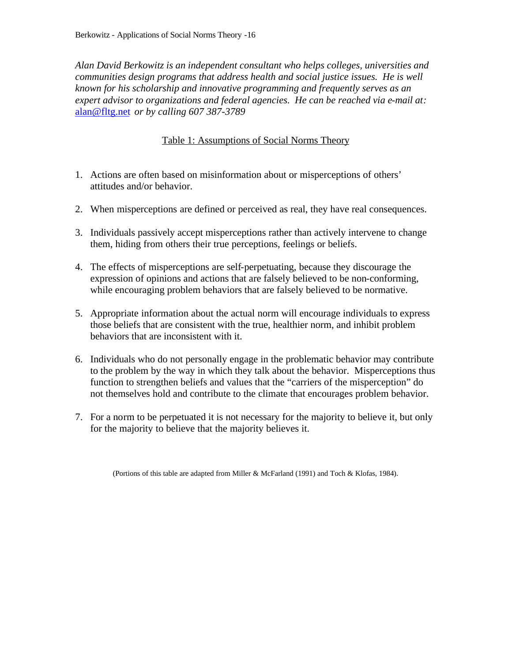*Alan David Berkowitz is an independent consultant who helps colleges, universities and communities design programs that address health and social justice issues. He is well known for his scholarship and innovative programming and frequently serves as an expert advisor to organizations and federal agencies. He can be reached via e-mail at:*  alan@fltg.net *or by calling 607 387-3789*

## Table 1: Assumptions of Social Norms Theory

- 1. Actions are often based on misinformation about or misperceptions of others' attitudes and/or behavior.
- 2. When misperceptions are defined or perceived as real, they have real consequences.
- 3. Individuals passively accept misperceptions rather than actively intervene to change them, hiding from others their true perceptions, feelings or beliefs.
- 4. The effects of misperceptions are self-perpetuating, because they discourage the expression of opinions and actions that are falsely believed to be non-conforming, while encouraging problem behaviors that are falsely believed to be normative.
- 5. Appropriate information about the actual norm will encourage individuals to express those beliefs that are consistent with the true, healthier norm, and inhibit problem behaviors that are inconsistent with it.
- 6. Individuals who do not personally engage in the problematic behavior may contribute to the problem by the way in which they talk about the behavior. Misperceptions thus function to strengthen beliefs and values that the "carriers of the misperception" do not themselves hold and contribute to the climate that encourages problem behavior.
- 7. For a norm to be perpetuated it is not necessary for the majority to believe it, but only for the majority to believe that the majority believes it.

(Portions of this table are adapted from Miller & McFarland (1991) and Toch & Klofas, 1984).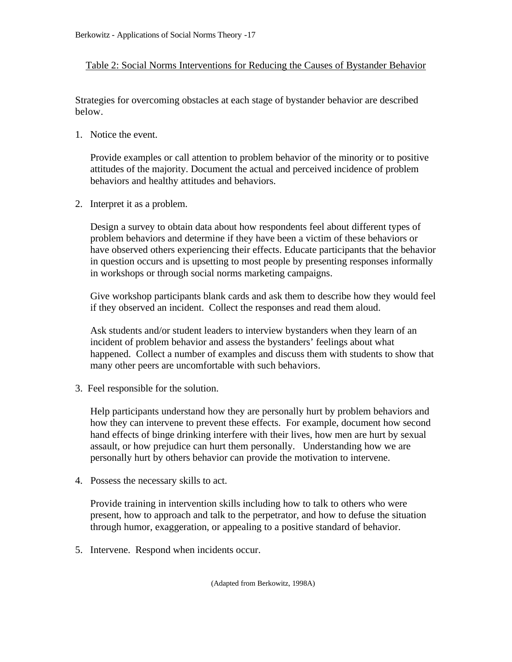## Table 2: Social Norms Interventions for Reducing the Causes of Bystander Behavior

Strategies for overcoming obstacles at each stage of bystander behavior are described below.

1. Notice the event.

Provide examples or call attention to problem behavior of the minority or to positive attitudes of the majority. Document the actual and perceived incidence of problem behaviors and healthy attitudes and behaviors.

2. Interpret it as a problem.

Design a survey to obtain data about how respondents feel about different types of problem behaviors and determine if they have been a victim of these behaviors or have observed others experiencing their effects. Educate participants that the behavior in question occurs and is upsetting to most people by presenting responses informally in workshops or through social norms marketing campaigns.

Give workshop participants blank cards and ask them to describe how they would feel if they observed an incident. Collect the responses and read them aloud.

Ask students and/or student leaders to interview bystanders when they learn of an incident of problem behavior and assess the bystanders' feelings about what happened. Collect a number of examples and discuss them with students to show that many other peers are uncomfortable with such behaviors.

3. Feel responsible for the solution.

Help participants understand how they are personally hurt by problem behaviors and how they can intervene to prevent these effects. For example, document how second hand effects of binge drinking interfere with their lives, how men are hurt by sexual assault, or how prejudice can hurt them personally. Understanding how we are personally hurt by others behavior can provide the motivation to intervene.

4. Possess the necessary skills to act.

Provide training in intervention skills including how to talk to others who were present, how to approach and talk to the perpetrator, and how to defuse the situation through humor, exaggeration, or appealing to a positive standard of behavior.

5. Intervene. Respond when incidents occur.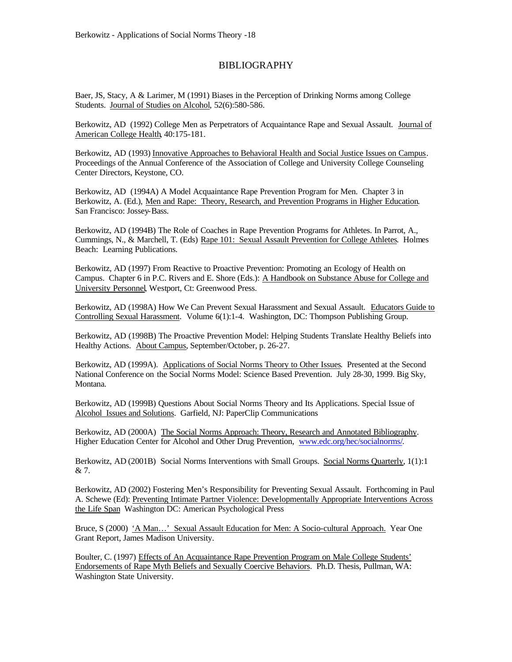#### BIBLIOGRAPHY

Baer, JS, Stacy, A & Larimer, M (1991) Biases in the Perception of Drinking Norms among College Students. Journal of Studies on Alcohol, 52(6):580-586.

Berkowitz, AD (1992) College Men as Perpetrators of Acquaintance Rape and Sexual Assault. Journal of American College Health, 40:175-181.

Berkowitz, AD (1993) Innovative Approaches to Behavioral Health and Social Justice Issues on Campus. Proceedings of the Annual Conference of the Association of College and University College Counseling Center Directors, Keystone, CO.

Berkowitz, AD (1994A) A Model Acquaintance Rape Prevention Program for Men. Chapter 3 in Berkowitz, A. (Ed.), Men and Rape: Theory, Research, and Prevention Programs in Higher Education. San Francisco: Jossey-Bass.

Berkowitz, AD (1994B) The Role of Coaches in Rape Prevention Programs for Athletes. In Parrot, A., Cummings, N., & Marchell, T. (Eds) Rape 101: Sexual Assault Prevention for College Athletes. Holmes Beach: Learning Publications.

Berkowitz, AD (1997) From Reactive to Proactive Prevention: Promoting an Ecology of Health on Campus. Chapter 6 in P.C. Rivers and E. Shore (Eds.): A Handbook on Substance Abuse for College and University Personnel, Westport, Ct: Greenwood Press.

Berkowitz, AD (1998A) How We Can Prevent Sexual Harassment and Sexual Assault. Educators Guide to Controlling Sexual Harassment. Volume 6(1):1-4. Washington, DC: Thompson Publishing Group.

Berkowitz, AD (1998B) The Proactive Prevention Model: Helping Students Translate Healthy Beliefs into Healthy Actions. About Campus, September/October, p. 26-27.

Berkowitz, AD (1999A). Applications of Social Norms Theory to Other Issues. Presented at the Second National Conference on the Social Norms Model: Science Based Prevention. July 28-30, 1999. Big Sky, Montana.

Berkowitz, AD (1999B) Questions About Social Norms Theory and Its Applications. Special Issue of Alcohol Issues and Solutions. Garfield, NJ: PaperClip Communications

Berkowitz, AD (2000A) The Social Norms Approach: Theory, Research and Annotated Bibliography. Higher Education Center for Alcohol and Other Drug Prevention, www.edc.org/hec/socialnorms/.

Berkowitz, AD (2001B) Social Norms Interventions with Small Groups. Social Norms Quarterly, 1(1):1 & 7.

Berkowitz, AD (2002) Fostering Men's Responsibility for Preventing Sexual Assault. Forthcoming in Paul A. Schewe (Ed): Preventing Intimate Partner Violence: Developmentally Appropriate Interventions Across the Life Span Washington DC: American Psychological Press

Bruce, S (2000) 'A Man...' Sexual Assault Education for Men: A Socio-cultural Approach. Year One Grant Report, James Madison University.

Boulter, C. (1997) Effects of An Acquaintance Rape Prevention Program on Male College Students' Endorsements of Rape Myth Beliefs and Sexually Coercive Behaviors. Ph.D. Thesis, Pullman, WA: Washington State University.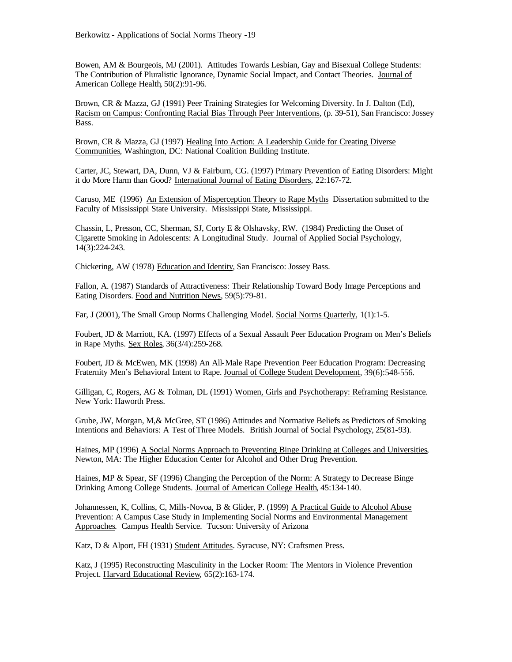Bowen, AM & Bourgeois, MJ (2001). Attitudes Towards Lesbian, Gay and Bisexual College Students: The Contribution of Pluralistic Ignorance, Dynamic Social Impact, and Contact Theories. Journal of American College Health, 50(2):91-96.

Brown, CR & Mazza, GJ (1991) Peer Training Strategies for Welcoming Diversity. In J. Dalton (Ed), Racism on Campus: Confronting Racial Bias Through Peer Interventions, (p. 39-51), San Francisco: Jossey Bass.

Brown, CR & Mazza, GJ (1997) Healing Into Action: A Leadership Guide for Creating Diverse Communities, Washington, DC: National Coalition Building Institute.

Carter, JC, Stewart, DA, Dunn, VJ & Fairburn, CG. (1997) Primary Prevention of Eating Disorders: Might it do More Harm than Good? International Journal of Eating Disorders, 22:167-72.

Caruso, ME (1996) An Extension of Misperception Theory to Rape Myths Dissertation submitted to the Faculty of Mississippi State University. Mississippi State, Mississippi.

Chassin, L, Presson, CC, Sherman, SJ, Corty E & Olshavsky, RW. (1984) Predicting the Onset of Cigarette Smoking in Adolescents: A Longitudinal Study. Journal of Applied Social Psychology, 14(3):224-243.

Chickering, AW (1978) Education and Identity, San Francisco: Jossey Bass.

Fallon, A. (1987) Standards of Attractiveness: Their Relationship Toward Body Image Perceptions and Eating Disorders. Food and Nutrition News, 59(5):79-81.

Far, J (2001), The Small Group Norms Challenging Model. Social Norms Quarterly, 1(1):1-5.

Foubert, JD & Marriott, KA. (1997) Effects of a Sexual Assault Peer Education Program on Men's Beliefs in Rape Myths. Sex Roles, 36(3/4):259-268.

Foubert, JD & McEwen, MK (1998) An All-Male Rape Prevention Peer Education Program: Decreasing Fraternity Men's Behavioral Intent to Rape. Journal of College Student Development, 39(6):548-556.

Gilligan, C, Rogers, AG & Tolman, DL (1991) Women, Girls and Psychotherapy: Reframing Resistance. New York: Haworth Press.

Grube, JW, Morgan, M,& McGree, ST (1986) Attitudes and Normative Beliefs as Predictors of Smoking Intentions and Behaviors: A Test of Three Models. British Journal of Social Psychology, 25(81-93).

Haines, MP (1996) A Social Norms Approach to Preventing Binge Drinking at Colleges and Universities, Newton, MA: The Higher Education Center for Alcohol and Other Drug Prevention.

Haines, MP & Spear, SF (1996) Changing the Perception of the Norm: A Strategy to Decrease Binge Drinking Among College Students. Journal of American College Health, 45:134-140.

Johannessen, K, Collins, C, Mills-Novoa, B & Glider, P. (1999) A Practical Guide to Alcohol Abuse Prevention: A Campus Case Study in Implementing Social Norms and Environmental Management Approaches. Campus Health Service. Tucson: University of Arizona

Katz, D & Alport, FH (1931) Student Attitudes. Syracuse, NY: Craftsmen Press.

Katz, J (1995) Reconstructing Masculinity in the Locker Room: The Mentors in Violence Prevention Project. Harvard Educational Review, 65(2):163-174.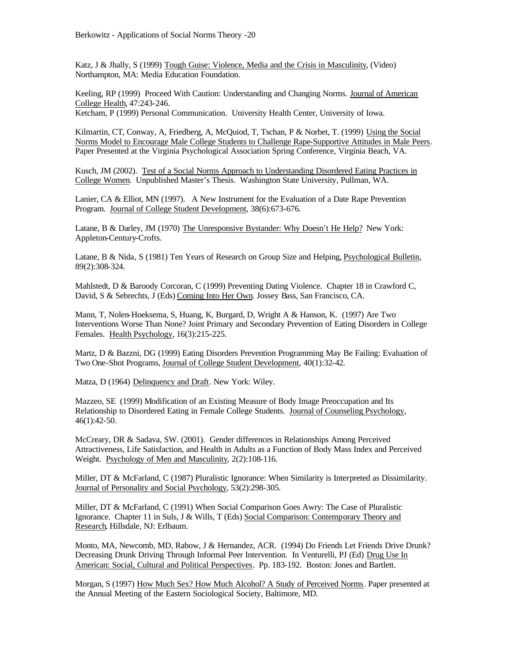Katz, J & Jhally, S (1999) Tough Guise: Violence, Media and the Crisis in Masculinity, (Video) Northampton, MA: Media Education Foundation.

Keeling, RP (1999) Proceed With Caution: Understanding and Changing Norms. Journal of American College Health, 47:243-246.

Ketcham, P (1999) Personal Communication. University Health Center, University of Iowa.

Kilmartin, CT, Conway, A, Friedberg, A, McQuiod, T, Tschan, P & Norbet, T. (1999) Using the Social Norms Model to Encourage Male College Students to Challenge Rape-Supportive Attitudes in Male Peers. Paper Presented at the Virginia Psychological Association Spring Conference, Virginia Beach, VA.

Kusch, JM (2002). Test of a Social Norms Approach to Understanding Disordered Eating Practices in College Women. Unpublished Master's Thesis. Washington State University, Pullman, WA.

Lanier, CA & Elliot, MN (1997). A New Instrument for the Evaluation of a Date Rape Prevention Program. Journal of College Student Development, 38(6):673-676.

Latane, B & Darley, JM (1970) The Unresponsive Bystander: Why Doesn't He Help? New York: Appleton-Century-Crofts.

Latane, B & Nida, S (1981) Ten Years of Research on Group Size and Helping, Psychological Bulletin, 89(2):308-324.

Mahlstedt, D & Baroody Corcoran, C (1999) Preventing Dating Violence. Chapter 18 in Crawford C, David, S & Sebrechts, J (Eds) Coming Into Her Own. Jossey Bass, San Francisco, CA.

Mann, T, Nolen-Hoeksema, S, Huang, K, Burgard, D, Wright A & Hanson, K. (1997) Are Two Interventions Worse Than None? Joint Primary and Secondary Prevention of Eating Disorders in College Females. Health Psychology, 16(3):215-225.

Martz, D & Bazzni, DG (1999) Eating Disorders Prevention Programming May Be Failing: Evaluation of Two One-Shot Programs, Journal of College Student Development, 40(1):32-42.

Matza, D (1964) Delinquency and Draft. New York: Wiley.

Mazzeo, SE (1999) Modification of an Existing Measure of Body Image Preoccupation and Its Relationship to Disordered Eating in Female College Students. Journal of Counseling Psychology, 46(1):42-50.

McCreary, DR & Sadava, SW. (2001). Gender differences in Relationships Among Perceived Attractiveness, Life Satisfaction, and Health in Adults as a Function of Body Mass Index and Perceived Weight. Psychology of Men and Masculinity, 2(2):108-116.

Miller, DT & McFarland, C (1987) Pluralistic Ignorance: When Similarity is Interpreted as Dissimilarity. Journal of Personality and Social Psychology, 53(2):298-305.

Miller, DT & McFarland, C (1991) When Social Comparison Goes Awry: The Case of Pluralistic Ignorance. Chapter 11 in Suls, J & Wills, T (Eds) Social Comparison: Contemporary Theory and Research, Hillsdale, NJ: Erlbaum.

Monto, MA, Newcomb, MD, Rabow, J & Hernandez, ACR. (1994) Do Friends Let Friends Drive Drunk? Decreasing Drunk Driving Through Informal Peer Intervention. In Venturelli, PJ (Ed) Drug Use In American: Social, Cultural and Political Perspectives. Pp. 183-192. Boston: Jones and Bartlett.

Morgan, S (1997) How Much Sex? How Much Alcohol? A Study of Perceived Norms. Paper presented at the Annual Meeting of the Eastern Sociological Society, Baltimore, MD.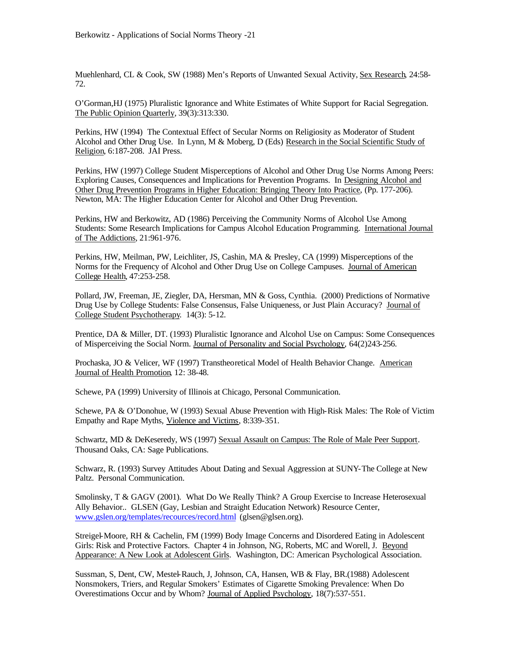Muehlenhard, CL & Cook, SW (1988) Men's Reports of Unwanted Sexual Activity, Sex Research, 24:58- 72.

O'Gorman,HJ (1975) Pluralistic Ignorance and White Estimates of White Support for Racial Segregation. The Public Opinion Quarterly, 39(3):313:330.

Perkins, HW (1994) The Contextual Effect of Secular Norms on Religiosity as Moderator of Student Alcohol and Other Drug Use. In Lynn, M & Moberg, D (Eds) Research in the Social Scientific Study of Religion, 6:187-208. JAI Press.

Perkins, HW (1997) College Student Misperceptions of Alcohol and Other Drug Use Norms Among Peers: Exploring Causes, Consequences and Implications for Prevention Programs. In Designing Alcohol and Other Drug Prevention Programs in Higher Education: Bringing Theory Into Practice, (Pp. 177-206). Newton, MA: The Higher Education Center for Alcohol and Other Drug Prevention.

Perkins, HW and Berkowitz, AD (1986) Perceiving the Community Norms of Alcohol Use Among Students: Some Research Implications for Campus Alcohol Education Programming. International Journal of The Addictions, 21:961-976.

Perkins, HW, Meilman, PW, Leichliter, JS, Cashin, MA & Presley, CA (1999) Misperceptions of the Norms for the Frequency of Alcohol and Other Drug Use on College Campuses. Journal of American College Health, 47:253-258.

Pollard, JW, Freeman, JE, Ziegler, DA, Hersman, MN & Goss, Cynthia. (2000) Predictions of Normative Drug Use by College Students: False Consensus, False Uniqueness, or Just Plain Accuracy? Journal of College Student Psychotherapy. 14(3): 5-12.

Prentice, DA & Miller, DT. (1993) Pluralistic Ignorance and Alcohol Use on Campus: Some Consequences of Misperceiving the Social Norm. Journal of Personality and Social Psychology, 64(2)243-256.

Prochaska, JO & Velicer, WF (1997) Transtheoretical Model of Health Behavior Change. American Journal of Health Promotion, 12: 38-48.

Schewe, PA (1999) University of Illinois at Chicago, Personal Communication.

Schewe, PA & O'Donohue, W (1993) Sexual Abuse Prevention with High-Risk Males: The Role of Victim Empathy and Rape Myths, Violence and Victims, 8:339-351.

Schwartz, MD & DeKeseredy, WS (1997) Sexual Assault on Campus: The Role of Male Peer Support. Thousand Oaks, CA: Sage Publications.

Schwarz, R. (1993) Survey Attitudes About Dating and Sexual Aggression at SUNY-The College at New Paltz. Personal Communication.

Smolinsky, T & GAGV (2001). What Do We Really Think? A Group Exercise to Increase Heterosexual Ally Behavior.. GLSEN (Gay, Lesbian and Straight Education Network) Resource Center, www.gslen.org/templates/recources/record.html (glsen@glsen.org).

Streigel-Moore, RH & Cachelin, FM (1999) Body Image Concerns and Disordered Eating in Adolescent Girls: Risk and Protective Factors. Chapter 4 in Johnson, NG, Roberts, MC and Worell, J. Beyond Appearance: A New Look at Adolescent Girls. Washington, DC: American Psychological Association.

Sussman, S, Dent, CW, Mestel-Rauch, J, Johnson, CA, Hansen, WB & Flay, BR.(1988) Adolescent Nonsmokers, Triers, and Regular Smokers' Estimates of Cigarette Smoking Prevalence: When Do Overestimations Occur and by Whom? Journal of Applied Psychology, 18(7):537-551.